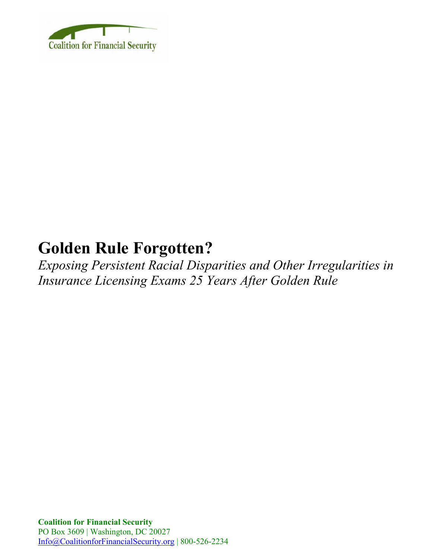

# **Golden Rule Forgotten?**

*Exposing Persistent Racial Disparities and Other Irregularities in Insurance Licensing Exams 25 Years After Golden Rule*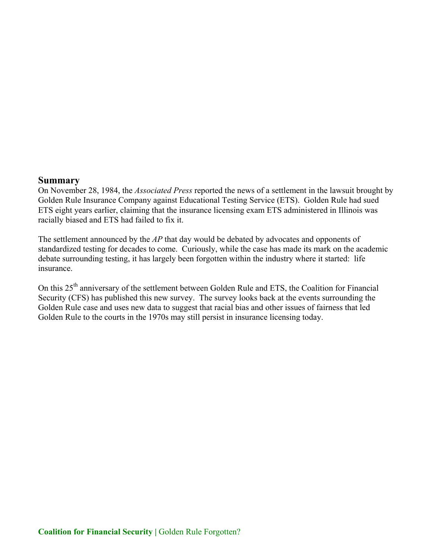#### **Summary**

On November 28, 1984, the *Associated Press* reported the news of a settlement in the lawsuit brought by Golden Rule Insurance Company against Educational Testing Service (ETS). Golden Rule had sued ETS eight years earlier, claiming that the insurance licensing exam ETS administered in Illinois was racially biased and ETS had failed to fix it.

The settlement announced by the *AP* that day would be debated by advocates and opponents of standardized testing for decades to come. Curiously, while the case has made its mark on the academic debate surrounding testing, it has largely been forgotten within the industry where it started: life insurance.

On this 25<sup>th</sup> anniversary of the settlement between Golden Rule and ETS, the Coalition for Financial Security (CFS) has published this new survey. The survey looks back at the events surrounding the Golden Rule case and uses new data to suggest that racial bias and other issues of fairness that led Golden Rule to the courts in the 1970s may still persist in insurance licensing today.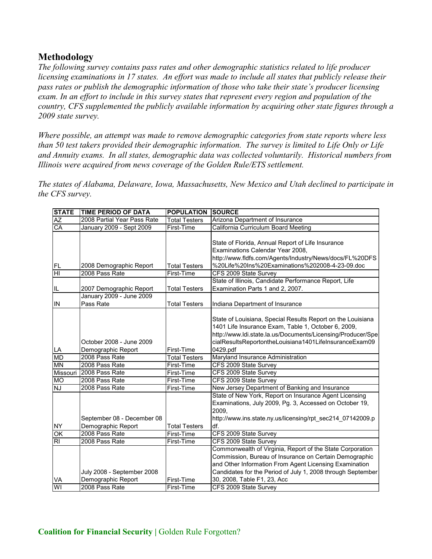## **Methodology**

*The following survey contains pass rates and other demographic statistics related to life producer licensing examinations in 17 states. An effort was made to include all states that publicly release their pass rates or publish the demographic information of those who take their state's producer licensing exam. In an effort to include in this survey states that represent every region and population of the country, CFS supplemented the publicly available information by acquiring other state figures through a 2009 state survey.* 

*Where possible, an attempt was made to remove demographic categories from state reports where less than 50 test takers provided their demographic information. The survey is limited to Life Only or Life and Annuity exams. In all states, demographic data was collected voluntarily. Historical numbers from Illinois were acquired from news coverage of the Golden Rule/ETS settlement.* 

*The states of Alabama, Delaware, Iowa, Massachusetts, New Mexico and Utah declined to participate in the CFS survey.*

| <b>STATE</b>                        | <b>TIME PERIOD OF DATA</b>                          | <b>POPULATION</b>    | <b>SOURCE</b>                                                                                                                                                                                                                                           |
|-------------------------------------|-----------------------------------------------------|----------------------|---------------------------------------------------------------------------------------------------------------------------------------------------------------------------------------------------------------------------------------------------------|
| <b>AZ</b>                           | 2008 Partial Year Pass Rate                         | <b>Total Testers</b> | Arizona Department of Insurance                                                                                                                                                                                                                         |
| CA                                  | January 2009 - Sept 2009                            | First-Time           | California Curriculum Board Meeting                                                                                                                                                                                                                     |
| FL                                  | 2008 Demographic Report                             | <b>Total Testers</b> | State of Florida, Annual Report of Life Insurance<br>Examinations Calendar Year 2008,<br>http://www.fldfs.com/Agents/Industry/News/docs/FL%20DFS<br>%20Life%20Ins%20Examinations%202008-4-23-09.doc                                                     |
| $\overline{\overline{\mathsf{H}}}$  | 2008 Pass Rate                                      | First-Time           | CFS 2009 State Survey                                                                                                                                                                                                                                   |
| IL                                  | 2007 Demographic Report<br>January 2009 - June 2009 | <b>Total Testers</b> | State of Illinois, Candidate Performance Report, Life<br>Examination Parts 1 and 2, 2007.                                                                                                                                                               |
| IN                                  | Pass Rate                                           | <b>Total Testers</b> | Indiana Department of Insurance                                                                                                                                                                                                                         |
| LA                                  | October 2008 - June 2009<br>Demographic Report      | First-Time           | State of Louisiana, Special Results Report on the Louisiana<br>1401 Life Insurance Exam, Table 1, October 6, 2009,<br>http://www.ldi.state.la.us/Documents/Licensing/Producer/Spe<br>cialResultsReportontheLouisiana1401LifeInsuranceExam09<br>0429.pdf |
| MD                                  | 2008 Pass Rate                                      | <b>Total Testers</b> | Maryland Insurance Administration                                                                                                                                                                                                                       |
| MN                                  | 2008 Pass Rate                                      | First-Time           | CFS 2009 State Survey                                                                                                                                                                                                                                   |
| Missouri                            | 2008 Pass Rate                                      | First-Time           | CFS 2009 State Survey                                                                                                                                                                                                                                   |
| $\overline{\text{MO}}$              | 2008 Pass Rate                                      | First-Time           | CFS 2009 State Survey                                                                                                                                                                                                                                   |
| ΝJ                                  | 2008 Pass Rate                                      | First-Time           | New Jersey Department of Banking and Insurance                                                                                                                                                                                                          |
| <b>NY</b>                           | September 08 - December 08<br>Demographic Report    | <b>Total Testers</b> | State of New York, Report on Insurance Agent Licensing<br>Examinations, July 2009, Pg. 3, Accessed on October 19,<br>2009,<br>http://www.ins.state.ny.us/licensing/rpt_sec214_07142009.p<br>df.                                                         |
| $\overline{\overline{\mathrm{OK}}}$ | 2008 Pass Rate                                      | First-Time           | CFS 2009 State Survey                                                                                                                                                                                                                                   |
| R <sub>l</sub>                      | 2008 Pass Rate                                      | First-Time           | CFS 2009 State Survey                                                                                                                                                                                                                                   |
|                                     | July 2008 - September 2008                          |                      | Commonwealth of Virginia, Report of the State Corporation<br>Commission, Bureau of Insurance on Certain Demographic<br>and Other Information From Agent Licensing Examination<br>Candidates for the Period of July 1, 2008 through September            |
| VA                                  | Demographic Report                                  | First-Time           | 30, 2008, Table F1, 23, Acc                                                                                                                                                                                                                             |
| WI                                  | 2008 Pass Rate                                      | First-Time           | CFS 2009 State Survey                                                                                                                                                                                                                                   |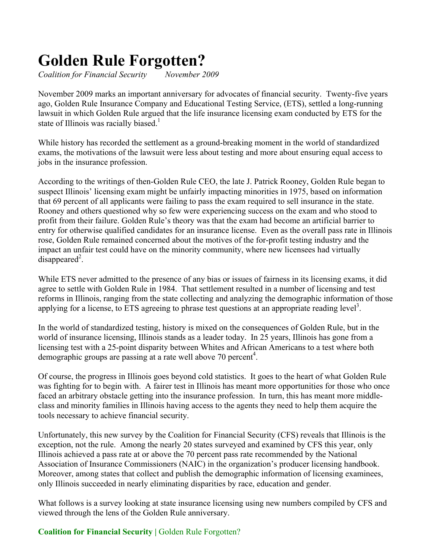# **Golden Rule Forgotten?**

*Coalition for Financial Security November 2009* 

November 2009 marks an important anniversary for advocates of financial security. Twenty-five years ago, Golden Rule Insurance Company and Educational Testing Service, (ETS), settled a long-running lawsuit in which Golden Rule argued that the life insurance licensing exam conducted by ETS for the state of Illinois was racially biased.<sup>1</sup>

While history has recorded the settlement as a ground-breaking moment in the world of standardized exams, the motivations of the lawsuit were less about testing and more about ensuring equal access to jobs in the insurance profession.

According to the writings of then-Golden Rule CEO, the late J. Patrick Rooney, Golden Rule began to suspect Illinois' licensing exam might be unfairly impacting minorities in 1975, based on information that 69 percent of all applicants were failing to pass the exam required to sell insurance in the state. Rooney and others questioned why so few were experiencing success on the exam and who stood to profit from their failure. Golden Rule's theory was that the exam had become an artificial barrier to entry for otherwise qualified candidates for an insurance license. Even as the overall pass rate in Illinois rose, Golden Rule remained concerned about the motives of the for-profit testing industry and the impact an unfair test could have on the minority community, where new licensees had virtually  $disapped<sup>2</sup>$ .

While ETS never admitted to the presence of any bias or issues of fairness in its licensing exams, it did agree to settle with Golden Rule in 1984. That settlement resulted in a number of licensing and test reforms in Illinois, ranging from the state collecting and analyzing the demographic information of those applying for a license, to ETS agreeing to phrase test questions at an appropriate reading level<sup>3</sup>.

In the world of standardized testing, history is mixed on the consequences of Golden Rule, but in the world of insurance licensing, Illinois stands as a leader today. In 25 years, Illinois has gone from a licensing test with a 25-point disparity between Whites and African Americans to a test where both demographic groups are passing at a rate well above 70 percent<sup>4</sup>.

Of course, the progress in Illinois goes beyond cold statistics. It goes to the heart of what Golden Rule was fighting for to begin with. A fairer test in Illinois has meant more opportunities for those who once faced an arbitrary obstacle getting into the insurance profession. In turn, this has meant more middleclass and minority families in Illinois having access to the agents they need to help them acquire the tools necessary to achieve financial security.

Unfortunately, this new survey by the Coalition for Financial Security (CFS) reveals that Illinois is the exception, not the rule. Among the nearly 20 states surveyed and examined by CFS this year, only Illinois achieved a pass rate at or above the 70 percent pass rate recommended by the National Association of Insurance Commissioners (NAIC) in the organization's producer licensing handbook. Moreover, among states that collect and publish the demographic information of licensing examinees, only Illinois succeeded in nearly eliminating disparities by race, education and gender.

What follows is a survey looking at state insurance licensing using new numbers compiled by CFS and viewed through the lens of the Golden Rule anniversary.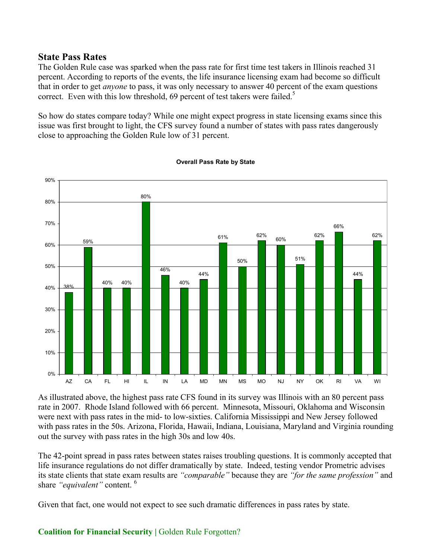#### **State Pass Rates**

The Golden Rule case was sparked when the pass rate for first time test takers in Illinois reached 31 percent. According to reports of the events, the life insurance licensing exam had become so difficult that in order to get *anyone* to pass, it was only necessary to answer 40 percent of the exam questions correct. Even with this low threshold, 69 percent of test takers were failed.<sup>5</sup>

So how do states compare today? While one might expect progress in state licensing exams since this issue was first brought to light, the CFS survey found a number of states with pass rates dangerously close to approaching the Golden Rule low of 31 percent.



#### **Overall Pass Rate by State**

As illustrated above, the highest pass rate CFS found in its survey was Illinois with an 80 percent pass rate in 2007. Rhode Island followed with 66 percent. Minnesota, Missouri, Oklahoma and Wisconsin were next with pass rates in the mid- to low-sixties. California Mississippi and New Jersey followed with pass rates in the 50s. Arizona, Florida, Hawaii, Indiana, Louisiana, Maryland and Virginia rounding out the survey with pass rates in the high 30s and low 40s.

The 42-point spread in pass rates between states raises troubling questions. It is commonly accepted that life insurance regulations do not differ dramatically by state. Indeed, testing vendor Prometric advises its state clients that state exam results are *"comparable"* because they are *"for the same profession"* and share *"equivalent"* content. 6

Given that fact, one would not expect to see such dramatic differences in pass rates by state.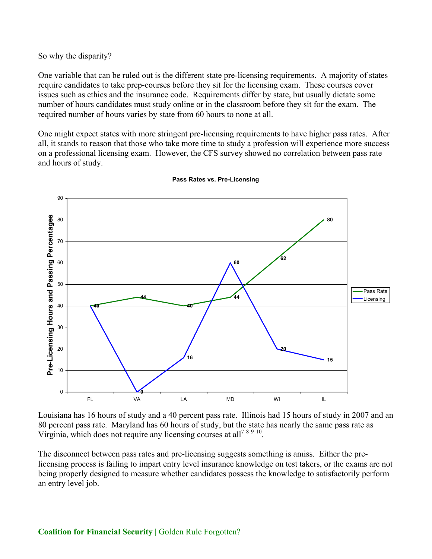So why the disparity?

One variable that can be ruled out is the different state pre-licensing requirements. A majority of states require candidates to take prep-courses before they sit for the licensing exam. These courses cover issues such as ethics and the insurance code. Requirements differ by state, but usually dictate some number of hours candidates must study online or in the classroom before they sit for the exam. The required number of hours varies by state from 60 hours to none at all.

One might expect states with more stringent pre-licensing requirements to have higher pass rates. After all, it stands to reason that those who take more time to study a profession will experience more success on a professional licensing exam. However, the CFS survey showed no correlation between pass rate and hours of study.



**Pass Rates vs. Pre-Licensing**

Louisiana has 16 hours of study and a 40 percent pass rate. Illinois had 15 hours of study in 2007 and an 80 percent pass rate. Maryland has 60 hours of study, but the state has nearly the same pass rate as Virginia, which does not require any licensing courses at all<sup>7 8 9 10</sup>.

The disconnect between pass rates and pre-licensing suggests something is amiss. Either the prelicensing process is failing to impart entry level insurance knowledge on test takers, or the exams are not being properly designed to measure whether candidates possess the knowledge to satisfactorily perform an entry level job.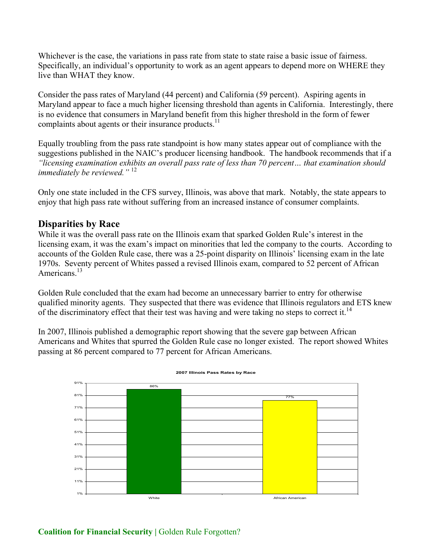Whichever is the case, the variations in pass rate from state to state raise a basic issue of fairness. Specifically, an individual's opportunity to work as an agent appears to depend more on WHERE they live than WHAT they know.

Consider the pass rates of Maryland (44 percent) and California (59 percent). Aspiring agents in Maryland appear to face a much higher licensing threshold than agents in California. Interestingly, there is no evidence that consumers in Maryland benefit from this higher threshold in the form of fewer complaints about agents or their insurance products.<sup>11</sup>

Equally troubling from the pass rate standpoint is how many states appear out of compliance with the suggestions published in the NAIC's producer licensing handbook. The handbook recommends that if a *"licensing examination exhibits an overall pass rate of less than 70 percent… that examination should immediately be reviewed."* <sup>12</sup>

Only one state included in the CFS survey, Illinois, was above that mark. Notably, the state appears to enjoy that high pass rate without suffering from an increased instance of consumer complaints.

## **Disparities by Race**

While it was the overall pass rate on the Illinois exam that sparked Golden Rule's interest in the licensing exam, it was the exam's impact on minorities that led the company to the courts. According to accounts of the Golden Rule case, there was a 25-point disparity on Illinois' licensing exam in the late 1970s. Seventy percent of Whites passed a revised Illinois exam, compared to 52 percent of African Americans<sup>13</sup>

Golden Rule concluded that the exam had become an unnecessary barrier to entry for otherwise qualified minority agents. They suspected that there was evidence that Illinois regulators and ETS knew of the discriminatory effect that their test was having and were taking no steps to correct it.<sup>14</sup>

In 2007, Illinois published a demographic report showing that the severe gap between African Americans and Whites that spurred the Golden Rule case no longer existed. The report showed Whites passing at 86 percent compared to 77 percent for African Americans.



**2007 Illinois Pass Rates by Race**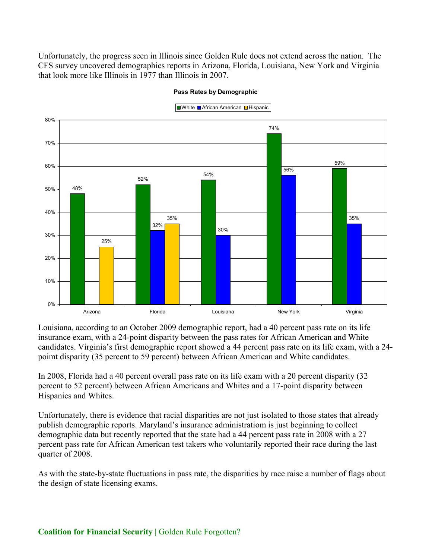Unfortunately, the progress seen in Illinois since Golden Rule does not extend across the nation. The CFS survey uncovered demographics reports in Arizona, Florida, Louisiana, New York and Virginia that look more like Illinois in 1977 than Illinois in 2007.



**Pass Rates by Demographic**

Louisiana, according to an October 2009 demographic report, had a 40 percent pass rate on its life insurance exam, with a 24-point disparity between the pass rates for African American and White candidates. Virginia's first demographic report showed a 44 percent pass rate on its life exam, with a 24 poimt disparity (35 percent to 59 percent) between African American and White candidates.

In 2008, Florida had a 40 percent overall pass rate on its life exam with a 20 percent disparity (32 percent to 52 percent) between African Americans and Whites and a 17-point disparity between Hispanics and Whites.

Unfortunately, there is evidence that racial disparities are not just isolated to those states that already publish demographic reports. Maryland's insurance administratiom is just beginning to collect demographic data but recently reported that the state had a 44 percent pass rate in 2008 with a 27 percent pass rate for African American test takers who voluntarily reported their race during the last quarter of 2008.

As with the state-by-state fluctuations in pass rate, the disparities by race raise a number of flags about the design of state licensing exams.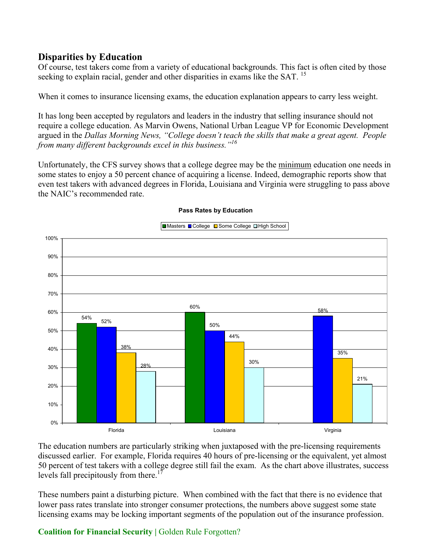## **Disparities by Education**

Of course, test takers come from a variety of educational backgrounds. This fact is often cited by those seeking to explain racial, gender and other disparities in exams like the SAT.<sup>15</sup>

When it comes to insurance licensing exams, the education explanation appears to carry less weight.

It has long been accepted by regulators and leaders in the industry that selling insurance should not require a college education. As Marvin Owens, National Urban League VP for Economic Development argued in the *Dallas Morning News, "College doesn't teach the skills that make a great agent. People from many different backgrounds excel in this business."<sup>16</sup>*

Unfortunately, the CFS survey shows that a college degree may be the minimum education one needs in some states to enjoy a 50 percent chance of acquiring a license. Indeed, demographic reports show that even test takers with advanced degrees in Florida, Louisiana and Virginia were struggling to pass above the NAIC's recommended rate.



#### **Pass Rates by Education**

The education numbers are particularly striking when juxtaposed with the pre-licensing requirements discussed earlier. For example, Florida requires 40 hours of pre-licensing or the equivalent, yet almost 50 percent of test takers with a college degree still fail the exam. As the chart above illustrates, success levels fall precipitously from there.<sup>17</sup>

These numbers paint a disturbing picture. When combined with the fact that there is no evidence that lower pass rates translate into stronger consumer protections, the numbers above suggest some state licensing exams may be locking important segments of the population out of the insurance profession.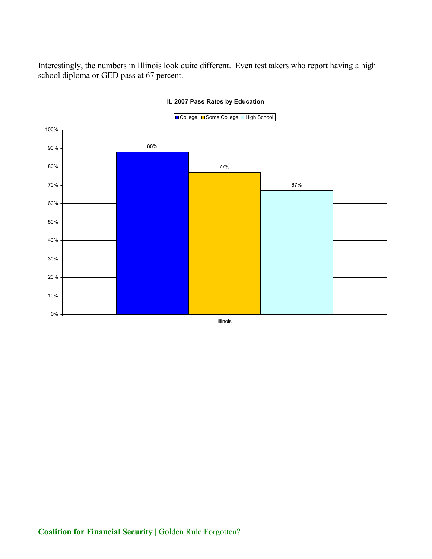Interestingly, the numbers in Illinois look quite different. Even test takers who report having a high school diploma or GED pass at 67 percent.



#### **IL 2007 Pass Rates by Education**

Illinois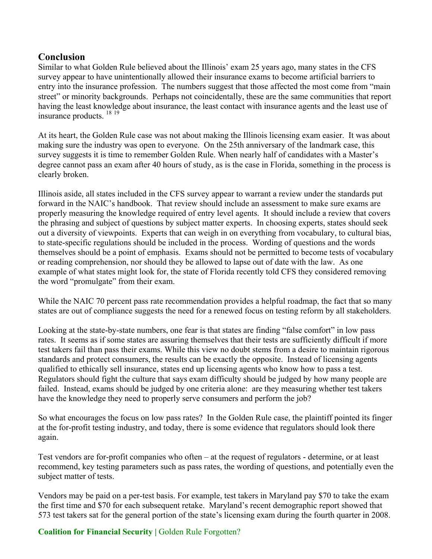## **Conclusion**

Similar to what Golden Rule believed about the Illinois' exam 25 years ago, many states in the CFS survey appear to have unintentionally allowed their insurance exams to become artificial barriers to entry into the insurance profession. The numbers suggest that those affected the most come from "main street" or minority backgrounds. Perhaps not coincidentally, these are the same communities that report having the least knowledge about insurance, the least contact with insurance agents and the least use of insurance products. 18 <sup>19</sup>

At its heart, the Golden Rule case was not about making the Illinois licensing exam easier. It was about making sure the industry was open to everyone. On the 25th anniversary of the landmark case, this survey suggests it is time to remember Golden Rule. When nearly half of candidates with a Master's degree cannot pass an exam after 40 hours of study, as is the case in Florida, something in the process is clearly broken.

Illinois aside, all states included in the CFS survey appear to warrant a review under the standards put forward in the NAIC's handbook. That review should include an assessment to make sure exams are properly measuring the knowledge required of entry level agents. It should include a review that covers the phrasing and subject of questions by subject matter experts. In choosing experts, states should seek out a diversity of viewpoints. Experts that can weigh in on everything from vocabulary, to cultural bias, to state-specific regulations should be included in the process. Wording of questions and the words themselves should be a point of emphasis. Exams should not be permitted to become tests of vocabulary or reading comprehension, nor should they be allowed to lapse out of date with the law. As one example of what states might look for, the state of Florida recently told CFS they considered removing the word "promulgate" from their exam.

While the NAIC 70 percent pass rate recommendation provides a helpful roadmap, the fact that so many states are out of compliance suggests the need for a renewed focus on testing reform by all stakeholders.

Looking at the state-by-state numbers, one fear is that states are finding "false comfort" in low pass rates. It seems as if some states are assuring themselves that their tests are sufficiently difficult if more test takers fail than pass their exams. While this view no doubt stems from a desire to maintain rigorous standards and protect consumers, the results can be exactly the opposite. Instead of licensing agents qualified to ethically sell insurance, states end up licensing agents who know how to pass a test. Regulators should fight the culture that says exam difficulty should be judged by how many people are failed. Instead, exams should be judged by one criteria alone: are they measuring whether test takers have the knowledge they need to properly serve consumers and perform the job?

So what encourages the focus on low pass rates? In the Golden Rule case, the plaintiff pointed its finger at the for-profit testing industry, and today, there is some evidence that regulators should look there again.

Test vendors are for-profit companies who often – at the request of regulators - determine, or at least recommend, key testing parameters such as pass rates, the wording of questions, and potentially even the subject matter of tests.

Vendors may be paid on a per-test basis. For example, test takers in Maryland pay \$70 to take the exam the first time and \$70 for each subsequent retake. Maryland's recent demographic report showed that 573 test takers sat for the general portion of the state's licensing exam during the fourth quarter in 2008.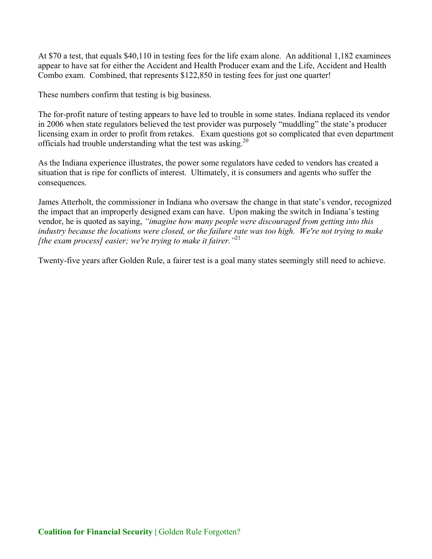At \$70 a test, that equals \$40,110 in testing fees for the life exam alone. An additional 1,182 examinees appear to have sat for either the Accident and Health Producer exam and the Life, Accident and Health Combo exam. Combined, that represents \$122,850 in testing fees for just one quarter!

These numbers confirm that testing is big business.

The for-profit nature of testing appears to have led to trouble in some states. Indiana replaced its vendor in 2006 when state regulators believed the test provider was purposely "muddling" the state's producer licensing exam in order to profit from retakes. Exam questions got so complicated that even department officials had trouble understanding what the test was asking.<sup>20</sup>

As the Indiana experience illustrates, the power some regulators have ceded to vendors has created a situation that is ripe for conflicts of interest. Ultimately, it is consumers and agents who suffer the consequences.

James Atterholt, the commissioner in Indiana who oversaw the change in that state's vendor, recognized the impact that an improperly designed exam can have. Upon making the switch in Indiana's testing vendor, he is quoted as saying, *"imagine how many people were discouraged from getting into this industry because the locations were closed, or the failure rate was too high. We're not trying to make [the exam process] easier; we're trying to make it fairer."*<sup>21</sup>

Twenty-five years after Golden Rule, a fairer test is a goal many states seemingly still need to achieve.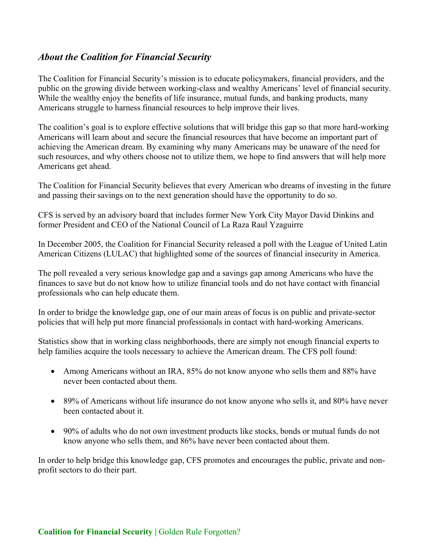## *About the Coalition for Financial Security*

The Coalition for Financial Security's mission is to educate policymakers, financial providers, and the public on the growing divide between working-class and wealthy Americans' level of financial security. While the wealthy enjoy the benefits of life insurance, mutual funds, and banking products, many Americans struggle to harness financial resources to help improve their lives.

The coalition's goal is to explore effective solutions that will bridge this gap so that more hard-working Americans will learn about and secure the financial resources that have become an important part of achieving the American dream. By examining why many Americans may be unaware of the need for such resources, and why others choose not to utilize them, we hope to find answers that will help more Americans get ahead.

The Coalition for Financial Security believes that every American who dreams of investing in the future and passing their savings on to the next generation should have the opportunity to do so.

CFS is served by an advisory board that includes former New York City Mayor David Dinkins and former President and CEO of the National Council of La Raza Raul Yzaguirre

In December 2005, the Coalition for Financial Security released a poll with the League of United Latin American Citizens (LULAC) that highlighted some of the sources of financial insecurity in America.

The poll revealed a very serious knowledge gap and a savings gap among Americans who have the finances to save but do not know how to utilize financial tools and do not have contact with financial professionals who can help educate them.

In order to bridge the knowledge gap, one of our main areas of focus is on public and private-sector policies that will help put more financial professionals in contact with hard-working Americans.

Statistics show that in working class neighborhoods, there are simply not enough financial experts to help families acquire the tools necessary to achieve the American dream. The CFS poll found:

- Among Americans without an IRA, 85% do not know anyone who sells them and 88% have never been contacted about them.
- $\bullet$  89% of Americans without life insurance do not know anyone who sells it, and 80% have never been contacted about it.
- 90% of adults who do not own investment products like stocks, bonds or mutual funds do not know anyone who sells them, and 86% have never been contacted about them.

In order to help bridge this knowledge gap, CFS promotes and encourages the public, private and nonprofit sectors to do their part.